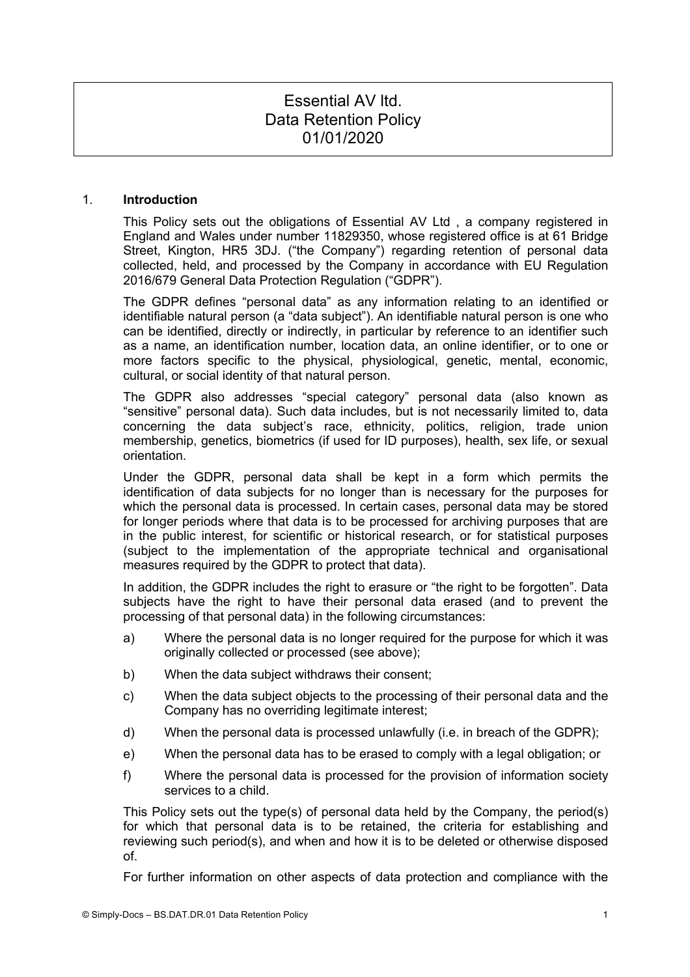# Essential AV ltd. Data Retention Policy 01/01/2020

#### 1. **Introduction**

This Policy sets out the obligations of Essential AV Ltd , a company registered in England and Wales under number 11829350, whose registered office is at 61 Bridge Street, Kington, HR5 3DJ. ("the Company") regarding retention of personal data collected, held, and processed by the Company in accordance with EU Regulation 2016/679 General Data Protection Regulation ("GDPR").

The GDPR defines "personal data" as any information relating to an identified or identifiable natural person (a "data subject"). An identifiable natural person is one who can be identified, directly or indirectly, in particular by reference to an identifier such as a name, an identification number, location data, an online identifier, or to one or more factors specific to the physical, physiological, genetic, mental, economic, cultural, or social identity of that natural person.

The GDPR also addresses "special category" personal data (also known as "sensitive" personal data). Such data includes, but is not necessarily limited to, data concerning the data subject's race, ethnicity, politics, religion, trade union membership, genetics, biometrics (if used for ID purposes), health, sex life, or sexual orientation.

Under the GDPR, personal data shall be kept in a form which permits the identification of data subjects for no longer than is necessary for the purposes for which the personal data is processed. In certain cases, personal data may be stored for longer periods where that data is to be processed for archiving purposes that are in the public interest, for scientific or historical research, or for statistical purposes (subject to the implementation of the appropriate technical and organisational measures required by the GDPR to protect that data).

In addition, the GDPR includes the right to erasure or "the right to be forgotten". Data subjects have the right to have their personal data erased (and to prevent the processing of that personal data) in the following circumstances:

- a) Where the personal data is no longer required for the purpose for which it was originally collected or processed (see above);
- b) When the data subject withdraws their consent;
- c) When the data subject objects to the processing of their personal data and the Company has no overriding legitimate interest;
- d) When the personal data is processed unlawfully (i.e. in breach of the GDPR);
- e) When the personal data has to be erased to comply with a legal obligation; or
- f) Where the personal data is processed for the provision of information society services to a child.

This Policy sets out the type(s) of personal data held by the Company, the period(s) for which that personal data is to be retained, the criteria for establishing and reviewing such period(s), and when and how it is to be deleted or otherwise disposed of.

For further information on other aspects of data protection and compliance with the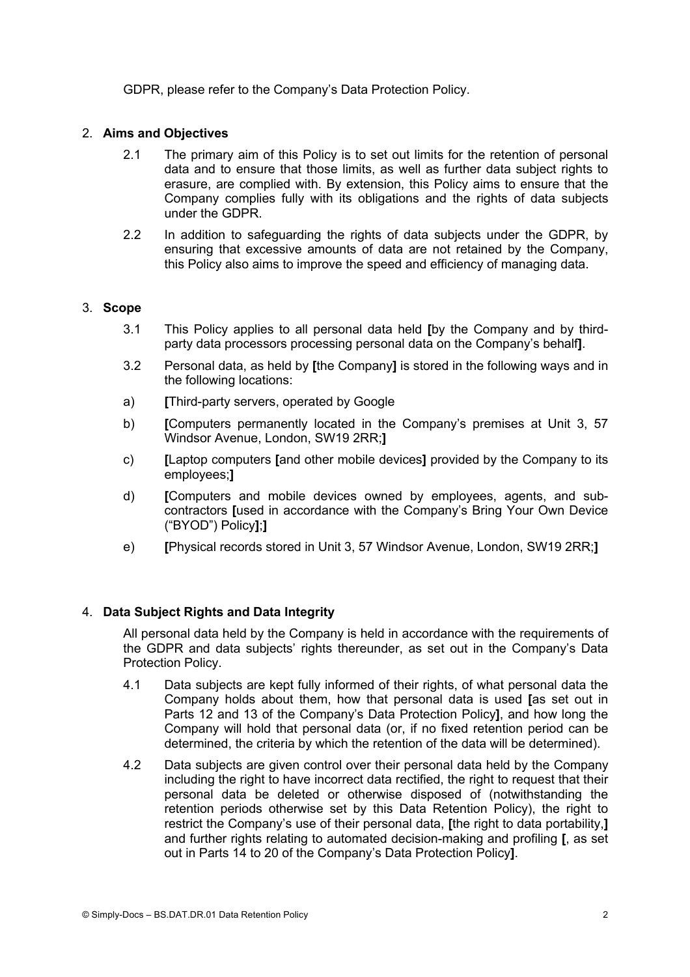GDPR, please refer to the Company's Data Protection Policy.

# 2. **Aims and Objectives**

- 2.1 The primary aim of this Policy is to set out limits for the retention of personal data and to ensure that those limits, as well as further data subject rights to erasure, are complied with. By extension, this Policy aims to ensure that the Company complies fully with its obligations and the rights of data subjects under the GDPR.
- 2.2 In addition to safeguarding the rights of data subjects under the GDPR, by ensuring that excessive amounts of data are not retained by the Company, this Policy also aims to improve the speed and efficiency of managing data.

# 3. **Scope**

- 3.1 This Policy applies to all personal data held **[**by the Company and by thirdparty data processors processing personal data on the Company's behalf**]**.
- 3.2 Personal data, as held by **[**the Company**]** is stored in the following ways and in the following locations:
- a) **[**Third-party servers, operated by Google
- b) **[**Computers permanently located in the Company's premises at Unit 3, 57 Windsor Avenue, London, SW19 2RR;**]**
- c) **[**Laptop computers **[**and other mobile devices**]** provided by the Company to its employees;**]**
- d) **[**Computers and mobile devices owned by employees, agents, and subcontractors **[**used in accordance with the Company's Bring Your Own Device ("BYOD") Policy**]**;**]**
- e) **[**Physical records stored in Unit 3, 57 Windsor Avenue, London, SW19 2RR;**]**

# 4. **Data Subject Rights and Data Integrity**

All personal data held by the Company is held in accordance with the requirements of the GDPR and data subjects' rights thereunder, as set out in the Company's Data Protection Policy.

- 4.1 Data subjects are kept fully informed of their rights, of what personal data the Company holds about them, how that personal data is used **[**as set out in Parts 12 and 13 of the Company's Data Protection Policy**]**, and how long the Company will hold that personal data (or, if no fixed retention period can be determined, the criteria by which the retention of the data will be determined).
- 4.2 Data subjects are given control over their personal data held by the Company including the right to have incorrect data rectified, the right to request that their personal data be deleted or otherwise disposed of (notwithstanding the retention periods otherwise set by this Data Retention Policy), the right to restrict the Company's use of their personal data, **[**the right to data portability,**]** and further rights relating to automated decision-making and profiling **[**, as set out in Parts 14 to 20 of the Company's Data Protection Policy**]**.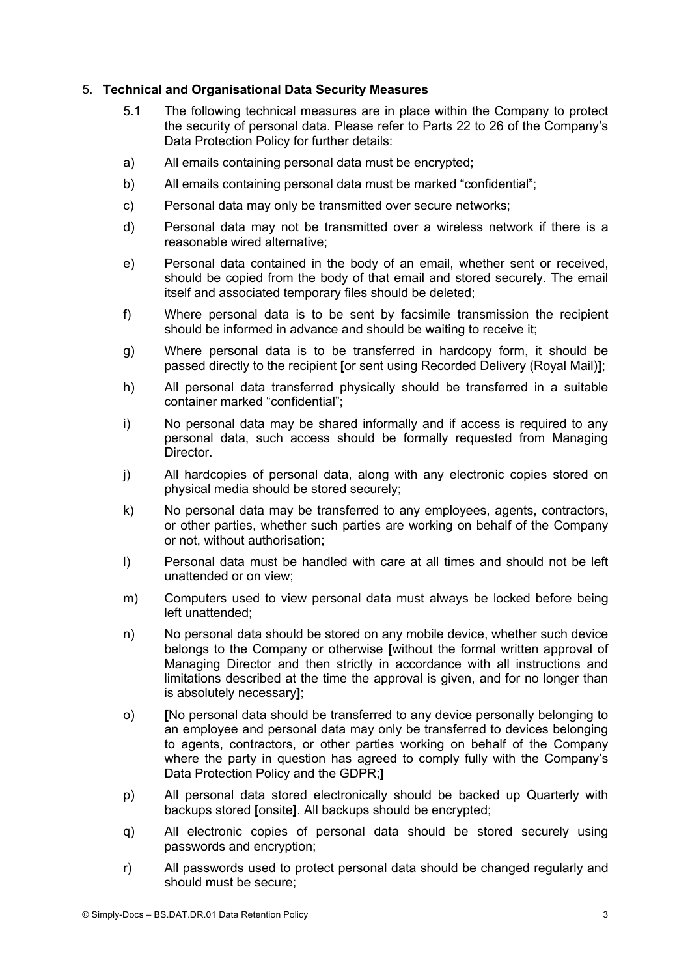## 5. **Technical and Organisational Data Security Measures**

- 5.1 The following technical measures are in place within the Company to protect the security of personal data. Please refer to Parts 22 to 26 of the Company's Data Protection Policy for further details:
- a) All emails containing personal data must be encrypted;
- b) All emails containing personal data must be marked "confidential";
- c) Personal data may only be transmitted over secure networks;
- d) Personal data may not be transmitted over a wireless network if there is a reasonable wired alternative;
- e) Personal data contained in the body of an email, whether sent or received, should be copied from the body of that email and stored securely. The email itself and associated temporary files should be deleted;
- f) Where personal data is to be sent by facsimile transmission the recipient should be informed in advance and should be waiting to receive it;
- g) Where personal data is to be transferred in hardcopy form, it should be passed directly to the recipient **[**or sent using Recorded Delivery (Royal Mail)**]**;
- h) All personal data transferred physically should be transferred in a suitable container marked "confidential";
- i) No personal data may be shared informally and if access is required to any personal data, such access should be formally requested from Managing Director.
- j) All hardcopies of personal data, along with any electronic copies stored on physical media should be stored securely;
- k) No personal data may be transferred to any employees, agents, contractors, or other parties, whether such parties are working on behalf of the Company or not, without authorisation;
- l) Personal data must be handled with care at all times and should not be left unattended or on view;
- m) Computers used to view personal data must always be locked before being left unattended;
- n) No personal data should be stored on any mobile device, whether such device belongs to the Company or otherwise **[**without the formal written approval of Managing Director and then strictly in accordance with all instructions and limitations described at the time the approval is given, and for no longer than is absolutely necessary**]**;
- o) **[**No personal data should be transferred to any device personally belonging to an employee and personal data may only be transferred to devices belonging to agents, contractors, or other parties working on behalf of the Company where the party in question has agreed to comply fully with the Company's Data Protection Policy and the GDPR;**]**
- p) All personal data stored electronically should be backed up Quarterly with backups stored **[**onsite**]**. All backups should be encrypted;
- q) All electronic copies of personal data should be stored securely using passwords and encryption;
- r) All passwords used to protect personal data should be changed regularly and should must be secure;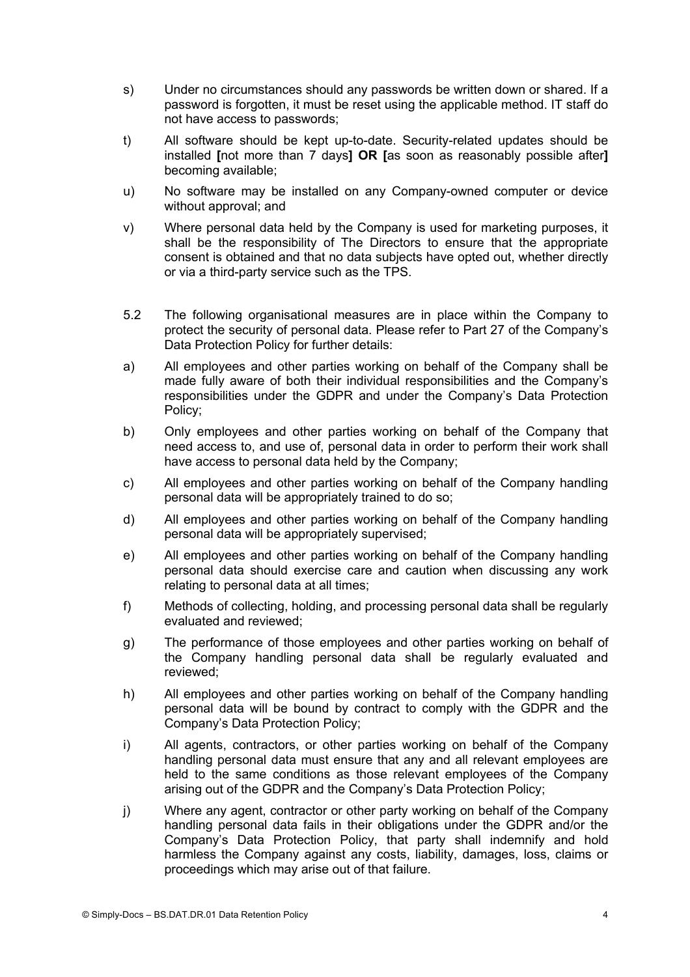- s) Under no circumstances should any passwords be written down or shared. If a password is forgotten, it must be reset using the applicable method. IT staff do not have access to passwords;
- t) All software should be kept up-to-date. Security-related updates should be installed **[**not more than 7 days**] OR [**as soon as reasonably possible after**]**  becoming available;
- u) No software may be installed on any Company-owned computer or device without approval; and
- v) Where personal data held by the Company is used for marketing purposes, it shall be the responsibility of The Directors to ensure that the appropriate consent is obtained and that no data subjects have opted out, whether directly or via a third-party service such as the TPS.
- 5.2 The following organisational measures are in place within the Company to protect the security of personal data. Please refer to Part 27 of the Company's Data Protection Policy for further details:
- a) All employees and other parties working on behalf of the Company shall be made fully aware of both their individual responsibilities and the Company's responsibilities under the GDPR and under the Company's Data Protection Policy;
- b) Only employees and other parties working on behalf of the Company that need access to, and use of, personal data in order to perform their work shall have access to personal data held by the Company;
- c) All employees and other parties working on behalf of the Company handling personal data will be appropriately trained to do so;
- d) All employees and other parties working on behalf of the Company handling personal data will be appropriately supervised;
- e) All employees and other parties working on behalf of the Company handling personal data should exercise care and caution when discussing any work relating to personal data at all times;
- f) Methods of collecting, holding, and processing personal data shall be regularly evaluated and reviewed;
- g) The performance of those employees and other parties working on behalf of the Company handling personal data shall be regularly evaluated and reviewed;
- h) All employees and other parties working on behalf of the Company handling personal data will be bound by contract to comply with the GDPR and the Company's Data Protection Policy;
- i) All agents, contractors, or other parties working on behalf of the Company handling personal data must ensure that any and all relevant employees are held to the same conditions as those relevant employees of the Company arising out of the GDPR and the Company's Data Protection Policy;
- j) Where any agent, contractor or other party working on behalf of the Company handling personal data fails in their obligations under the GDPR and/or the Company's Data Protection Policy, that party shall indemnify and hold harmless the Company against any costs, liability, damages, loss, claims or proceedings which may arise out of that failure.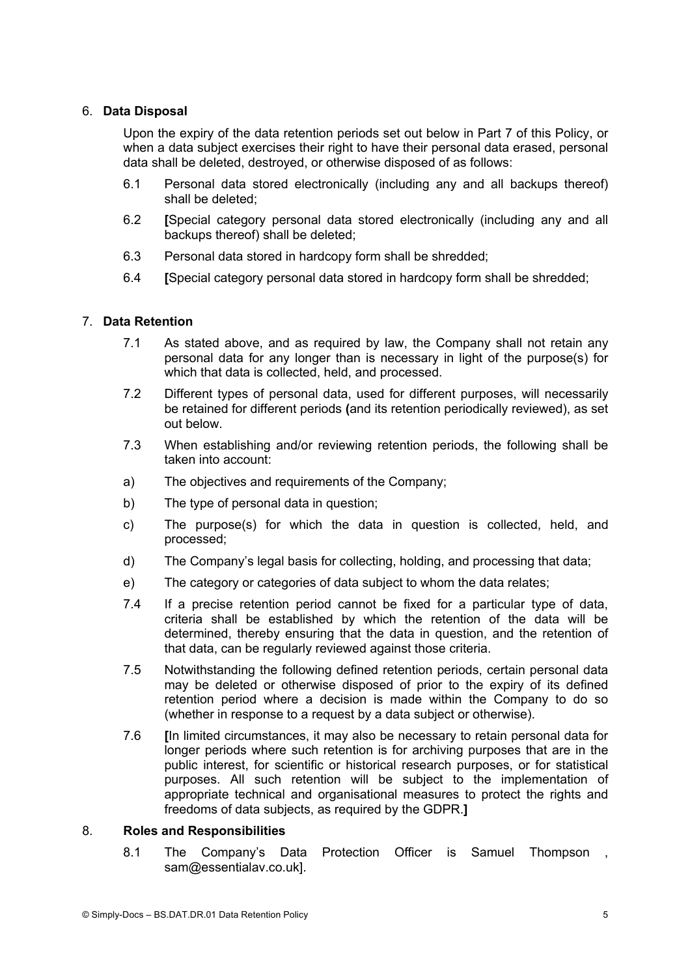## 6. **Data Disposal**

Upon the expiry of the data retention periods set out below in Part 7 of this Policy, or when a data subject exercises their right to have their personal data erased, personal data shall be deleted, destroyed, or otherwise disposed of as follows:

- 6.1 Personal data stored electronically (including any and all backups thereof) shall be deleted;
- 6.2 **[**Special category personal data stored electronically (including any and all backups thereof) shall be deleted;
- 6.3 Personal data stored in hardcopy form shall be shredded;
- 6.4 **[**Special category personal data stored in hardcopy form shall be shredded;

### 7. **Data Retention**

- 7.1 As stated above, and as required by law, the Company shall not retain any personal data for any longer than is necessary in light of the purpose(s) for which that data is collected, held, and processed.
- 7.2 Different types of personal data, used for different purposes, will necessarily be retained for different periods **(**and its retention periodically reviewed), as set out below.
- 7.3 When establishing and/or reviewing retention periods, the following shall be taken into account:
- a) The objectives and requirements of the Company;
- b) The type of personal data in question;
- c) The purpose(s) for which the data in question is collected, held, and processed;
- d) The Company's legal basis for collecting, holding, and processing that data;
- e) The category or categories of data subject to whom the data relates;
- 7.4 If a precise retention period cannot be fixed for a particular type of data, criteria shall be established by which the retention of the data will be determined, thereby ensuring that the data in question, and the retention of that data, can be regularly reviewed against those criteria.
- 7.5 Notwithstanding the following defined retention periods, certain personal data may be deleted or otherwise disposed of prior to the expiry of its defined retention period where a decision is made within the Company to do so (whether in response to a request by a data subject or otherwise).
- 7.6 **[**In limited circumstances, it may also be necessary to retain personal data for longer periods where such retention is for archiving purposes that are in the public interest, for scientific or historical research purposes, or for statistical purposes. All such retention will be subject to the implementation of appropriate technical and organisational measures to protect the rights and freedoms of data subjects, as required by the GDPR.**]**

#### 8. **Roles and Responsibilities**

8.1 The Company's Data Protection Officer is Samuel Thompson , sam@essentialav.co.uk].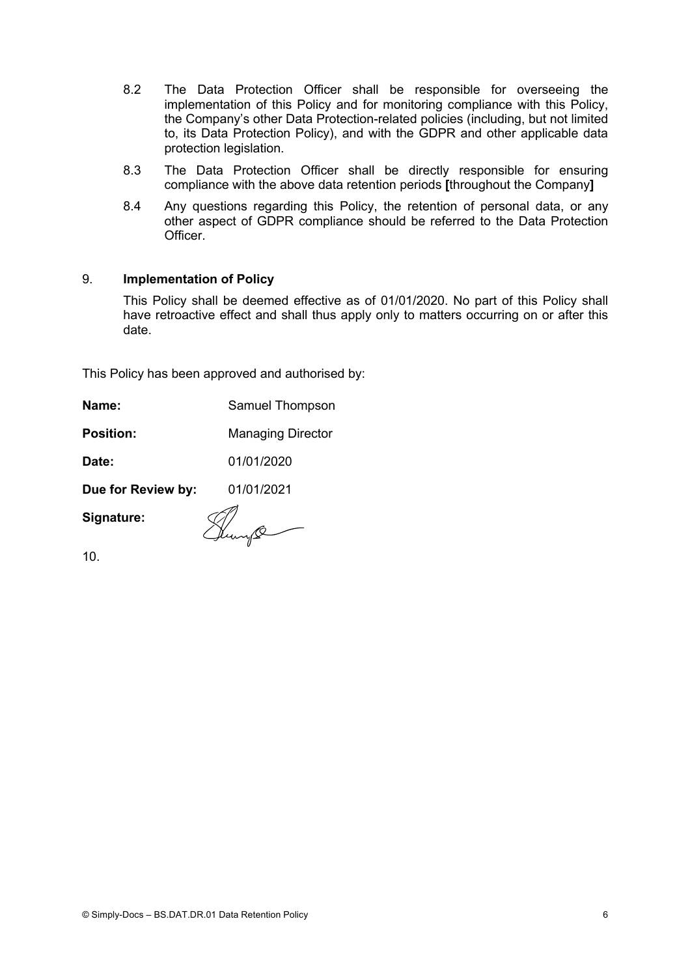- 8.2 The Data Protection Officer shall be responsible for overseeing the implementation of this Policy and for monitoring compliance with this Policy, the Company's other Data Protection-related policies (including, but not limited to, its Data Protection Policy), and with the GDPR and other applicable data protection legislation.
- 8.3 The Data Protection Officer shall be directly responsible for ensuring compliance with the above data retention periods **[**throughout the Company**]**
- 8.4 Any questions regarding this Policy, the retention of personal data, or any other aspect of GDPR compliance should be referred to the Data Protection **Officer**

# 9. **Implementation of Policy**

This Policy shall be deemed effective as of 01/01/2020. No part of this Policy shall have retroactive effect and shall thus apply only to matters occurring on or after this date.

This Policy has been approved and authorised by:

| Name:            | Samuel Thompson          |
|------------------|--------------------------|
| <b>Position:</b> | <b>Managing Director</b> |

**Date:** 01/01/2020

**Due for Review by:** 01/01/2021

**Signature:**

Hunge

10.